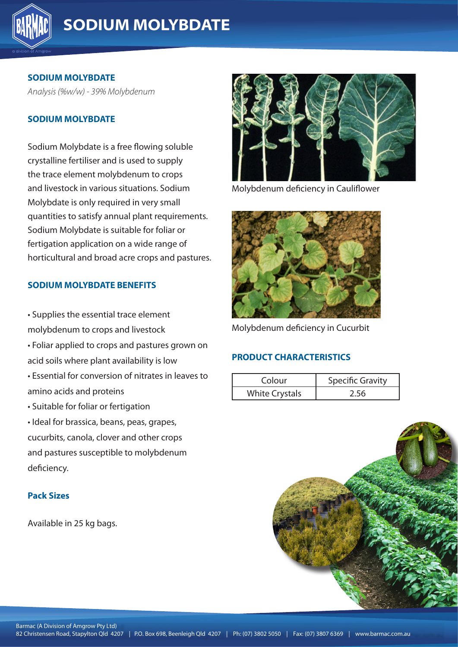

**SODIUM MOLYBDATE**

*Analysis (%w/w) - 39% Molybdenum*

### **SODIUM MOLYBDATE**

Sodium Molybdate is a free flowing soluble crystalline fertiliser and is used to supply the trace element molybdenum to crops and livestock in various situations. Sodium Molybdate is only required in very small quantities to satisfy annual plant requirements. Sodium Molybdate is suitable for foliar or fertigation application on a wide range of horticultural and broad acre crops and pastures.

### **SODIUM MOLYBDATE BENEFITS**

• Supplies the essential trace element **All 4207 in the extent of the essential** trace element molybdenum to crops and livestock • Foliar applied to crops and pastures grown on acid soils where plant availability is low • Essential for conversion of nitrates in leaves to amino acids and proteins • Suitable for foliar or fertigation • Ideal for brassica, beans, peas, grapes, cucurbits, canola, clover and other crops and pastures susceptible to molybdenum

#### **Pack Sizes**

deficiency.

Available in 25 kg bags.



Molybdenum deficiency in Cauliflower



Molybdenum deficiency in Cucurbit

### **PRODUCT CHARACTERISTICS**

| Colour                | <b>Specific Gravity</b> |
|-----------------------|-------------------------|
| <b>White Crystals</b> | 2.56                    |